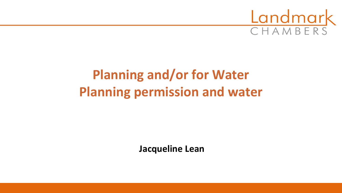

# **Planning and/or for Water Planning permission and water**

**Jacqueline Lean**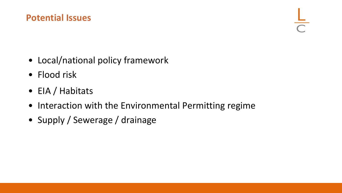#### **Potential Issues**

- Local/national policy framework
- Flood risk
- EIA / Habitats
- Interaction with the Environmental Permitting regime
- Supply / Sewerage / drainage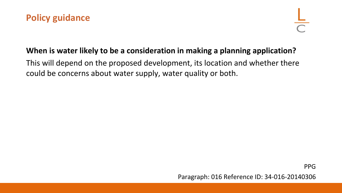

#### **When is water likely to be a consideration in making a planning application?**

This will depend on the proposed development, its location and whether there could be concerns about water supply, water quality or both.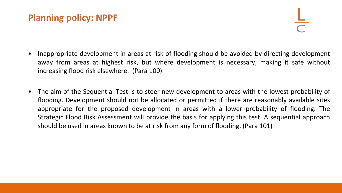#### **Planning policy: NPPF**

- Inappropriate development in areas at risk of flooding should be avoided by directing development away from areas at highest risk, but where development is necessary, making it safe without increasing flood risk elsewhere. (Para 100)
- The aim of the Sequential Test is to steer new development to areas with the lowest probability of flooding. Development should not be allocated or permitted if there are reasonably available sites appropriate for the proposed development in areas with a lower probability of flooding. The Strategic Flood Risk Assessment will provide the basis for applying this test. A sequential approach should be used in areas known to be at risk from any form of flooding. (Para 101)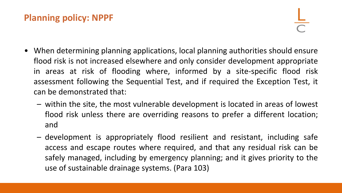### **Planning policy: NPPF**

- When determining planning applications, local planning authorities should ensure flood risk is not increased elsewhere and only consider development appropriate in areas at risk of flooding where, informed by a site-specific flood risk assessment following the Sequential Test, and if required the Exception Test, it can be demonstrated that:
	- within the site, the most vulnerable development is located in areas of lowest flood risk unless there are overriding reasons to prefer a different location; and
	- development is appropriately flood resilient and resistant, including safe access and escape routes where required, and that any residual risk can be safely managed, including by emergency planning; and it gives priority to the use of sustainable drainage systems. (Para 103)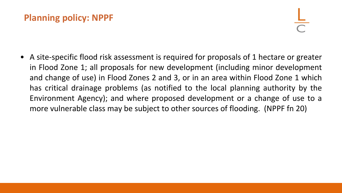### **Planning policy: NPPF**

• A site-specific flood risk assessment is required for proposals of 1 hectare or greater in Flood Zone 1; all proposals for new development (including minor development and change of use) in Flood Zones 2 and 3, or in an area within Flood Zone 1 which has critical drainage problems (as notified to the local planning authority by the Environment Agency); and where proposed development or a change of use to a more vulnerable class may be subject to other sources of flooding. (NPPF fn 20)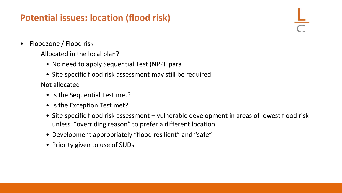### **Potential issues: location (flood risk)**

- Floodzone / Flood risk
	- Allocated in the local plan?
		- No need to apply Sequential Test (NPPF para
		- Site specific flood risk assessment may still be required
	- Not allocated
		- Is the Sequential Test met?
		- Is the Exception Test met?
		- Site specific flood risk assessment vulnerable development in areas of lowest flood risk unless "overriding reason" to prefer a different location
		- Development appropriately "flood resilient" and "safe"
		- Priority given to use of SUDs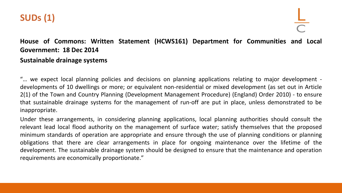

#### **House of Commons: Written Statement (HCWS161) Department for Communities and Local Government: 18 Dec 2014 Sustainable drainage systems**

"… we expect local planning policies and decisions on planning applications relating to major development developments of 10 dwellings or more; or equivalent non-residential or mixed development (as set out in Article 2(1) of the Town and Country Planning (Development Management Procedure) (England) Order 2010) - to ensure that sustainable drainage systems for the management of run-off are put in place, unless demonstrated to be inappropriate.

Under these arrangements, in considering planning applications, local planning authorities should consult the relevant lead local flood authority on the management of surface water; satisfy themselves that the proposed minimum standards of operation are appropriate and ensure through the use of planning conditions or planning obligations that there are clear arrangements in place for ongoing maintenance over the lifetime of the development. The sustainable drainage system should be designed to ensure that the maintenance and operation requirements are economically proportionate."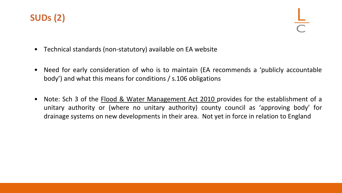

- Technical standards (non-statutory) available on EA website
- Need for early consideration of who is to maintain (EA recommends a 'publicly accountable body') and what this means for conditions / s.106 obligations
- Note: Sch 3 of the **Flood & Water Management Act 2010** provides for the establishment of a unitary authority or (where no unitary authority) county council as 'approving body' for drainage systems on new developments in their area. Not yet in force in relation to England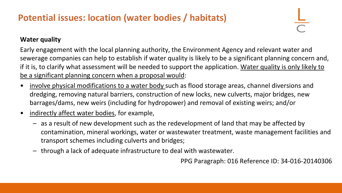# **Potential issues: location (water bodies / habitats)**

#### **Water quality**

Early engagement with the local planning authority, the Environment Agency and relevant water and sewerage companies can help to establish if water quality is likely to be a significant planning concern and, if it is, to clarify what assessment will be needed to support the application. Water quality is only likely to be a significant planning concern when a proposal would:

- involve physical modifications to a water body such as flood storage areas, channel diversions and dredging, removing natural barriers, construction of new locks, new culverts, major bridges, new barrages/dams, new weirs (including for hydropower) and removal of existing weirs; and/or
- indirectly affect water bodies, for example,
	- as a result of new development such as the redevelopment of land that may be affected by contamination, mineral workings, water or wastewater treatment, waste management facilities and transport schemes including culverts and bridges;
	- through a lack of adequate infrastructure to deal with wastewater.

PPG Paragraph: 016 Reference ID: 34-016-20140306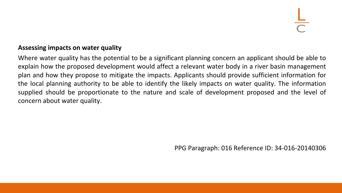#### **Assessing impacts on water quality**

Where water quality has the potential to be a significant planning concern an applicant should be able to explain how the proposed development would affect a relevant water body in a river basin management plan and how they propose to mitigate the impacts. Applicants should provide sufficient information for the local planning authority to be able to identify the likely impacts on water quality. The information supplied should be proportionate to the nature and scale of development proposed and the level of concern about water quality.

PPG Paragraph: 016 Reference ID: 34-016-20140306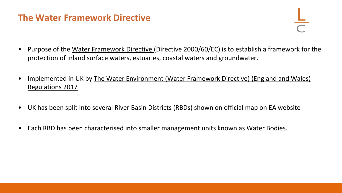#### **The Water Framework Directive**

- Purpose of the Water Framework Directive (Directive 2000/60/EC) is to establish a framework for the protection of inland surface waters, estuaries, coastal waters and groundwater.
- Implemented in UK by The Water Environment (Water Framework Directive) (England and Wales) Regulations 2017
- UK has been split into several River Basin Districts (RBDs) shown on official map on EA website
- Each RBD has been characterised into smaller management units known as Water Bodies.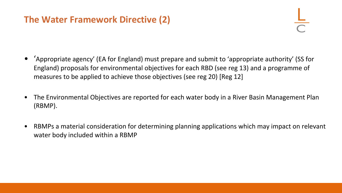### **The Water Framework Directive (2)**

- 'Appropriate agency' (EA for England) must prepare and submit to 'appropriate authority' (SS for England) proposals for environmental objectives for each RBD (see reg 13) and a programme of measures to be applied to achieve those objectives (see reg 20) [Reg 12]
- The Environmental Objectives are reported for each water body in a River Basin Management Plan (RBMP).
- RBMPs a material consideration for determining planning applications which may impact on relevant water body included within a RBMP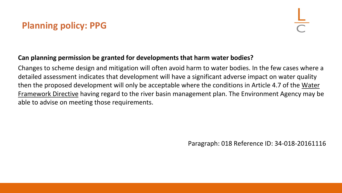# **Planning policy: PPG**

#### **Can planning permission be granted for developments that harm water bodies?**

Changes to scheme design and mitigation will often avoid harm to water bodies. In the few cases where a detailed assessment indicates that development will have a significant adverse impact on water quality then the proposed development will only be acceptable where the conditions in Article 4.7 of the Water Framework Directive having regard to the river basin management plan. The Environment Agency may be able to advise on meeting those requirements.

Paragraph: 018 Reference ID: 34-018-20161116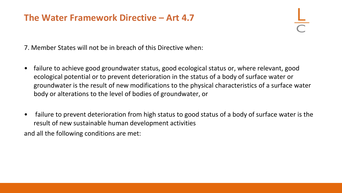#### **The Water Framework Directive – Art 4.7**

7. Member States will not be in breach of this Directive when:

- failure to achieve good groundwater status, good ecological status or, where relevant, good ecological potential or to prevent deterioration in the status of a body of surface water or groundwater is the result of new modifications to the physical characteristics of a surface water body or alterations to the level of bodies of groundwater, or
- failure to prevent deterioration from high status to good status of a body of surface water is the result of new sustainable human development activities and all the following conditions are met: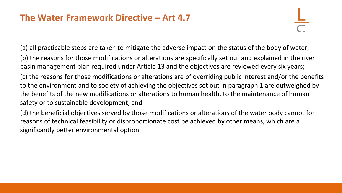#### **The Water Framework Directive – Art 4.7**

(a) all practicable steps are taken to mitigate the adverse impact on the status of the body of water; (b) the reasons for those modifications or alterations are specifically set out and explained in the river basin management plan required under Article 13 and the objectives are reviewed every six years;

(c) the reasons for those modifications or alterations are of overriding public interest and/or the benefits to the environment and to society of achieving the objectives set out in paragraph 1 are outweighed by the benefits of the new modifications or alterations to human health, to the maintenance of human safety or to sustainable development, and

(d) the beneficial objectives served by those modifications or alterations of the water body cannot for reasons of technical feasibility or disproportionate cost be achieved by other means, which are a significantly better environmental option.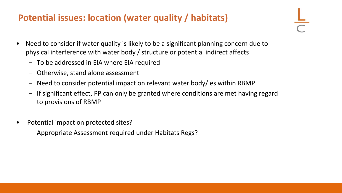### **Potential issues: location (water quality / habitats)**

- Need to consider if water quality is likely to be a significant planning concern due to physical interference with water body / structure or potential indirect affects
	- To be addressed in EIA where EIA required
	- Otherwise, stand alone assessment
	- Need to consider potential impact on relevant water body/ies within RBMP
	- If significant effect, PP can only be granted where conditions are met having regard to provisions of RBMP
- Potential impact on protected sites?
	- Appropriate Assessment required under Habitats Regs?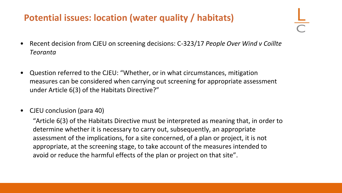### **Potential issues: location (water quality / habitats)**

- Recent decision from CJEU on screening decisions: C-323/17 *People Over Wind v Coillte Teoranta*
- Question referred to the CJEU: "Whether, or in what circumstances, mitigation measures can be considered when carrying out screening for appropriate assessment under Article 6(3) of the Habitats Directive?"
- CJEU conclusion (para 40)

"Article 6(3) of the Habitats Directive must be interpreted as meaning that, in order to determine whether it is necessary to carry out, subsequently, an appropriate assessment of the implications, for a site concerned, of a plan or project, it is not appropriate, at the screening stage, to take account of the measures intended to avoid or reduce the harmful effects of the plan or project on that site".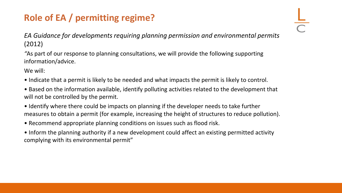# **Role of EA / permitting regime?**

*EA Guidance for developments requiring planning permission and environmental permits*  (2012)

*"*As part of our response to planning consultations, we will provide the following supporting information/advice.

We will:

- Indicate that a permit is likely to be needed and what impacts the permit is likely to control.
- Based on the information available, identify polluting activities related to the development that will not be controlled by the permit.
- Identify where there could be impacts on planning if the developer needs to take further measures to obtain a permit (for example, increasing the height of structures to reduce pollution).
- Recommend appropriate planning conditions on issues such as flood risk.
- Inform the planning authority if a new development could affect an existing permitted activity complying with its environmental permit"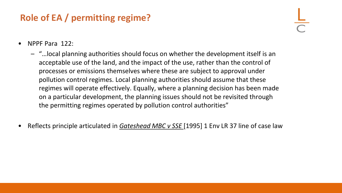# **Role of EA / permitting regime?**

- NPPF Para 122:
	- "…local planning authorities should focus on whether the development itself is an acceptable use of the land, and the impact of the use, rather than the control of processes or emissions themselves where these are subject to approval under pollution control regimes. Local planning authorities should assume that these regimes will operate effectively. Equally, where a planning decision has been made on a particular development, the planning issues should not be revisited through the permitting regimes operated by pollution control authorities"
- Reflects principle articulated in *Gateshead MBC v SSE* [1995] 1 Env LR 37 line of case law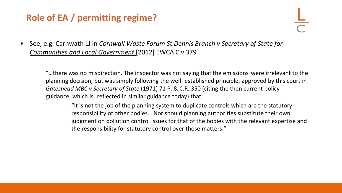# **Role of EA / permitting regime?**

• See, e.g. Carnwath LJ in *Cornwall Waste Forum St Dennis Branch v Secretary of State for Communities and Local Government* [2012] EWCA Civ 379

"…there was no misdirection. The inspector was not saying that the emissions were irrelevant to the planning decision, but was simply following the well- established principle, approved by this court in *Gateshead MBC v Secretary of State* (1971) 71 P. & C.R. 350 (citing the then current policy guidance, which is reflected in similar guidance today) that:

"It is not the job of the planning system to duplicate controls which are the statutory responsibility of other bodies… Nor should planning authorities substitute their own judgment on pollution control issues for that of the bodies with the relevant expertise and the responsibility for statutory control over those matters."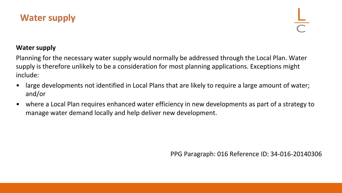

#### **Water supply**

Planning for the necessary water supply would normally be addressed through the Local Plan. Water supply is therefore unlikely to be a consideration for most planning applications. Exceptions might include:

- large developments not identified in Local Plans that are likely to require a large amount of water; and/or
- where a Local Plan requires enhanced water efficiency in new developments as part of a strategy to manage water demand locally and help deliver new development.

PPG Paragraph: 016 Reference ID: 34-016-20140306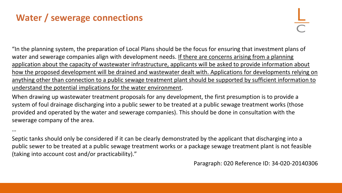# **Water / sewerage connections**

"In the planning system, the preparation of Local Plans should be the focus for ensuring that investment plans of water and sewerage companies align with development needs. If there are concerns arising from a planning application about the capacity of wastewater infrastructure, applicants will be asked to provide information about how the proposed development will be drained and wastewater dealt with. Applications for developments relying on anything other than connection to a public sewage treatment plant should be supported by sufficient information to understand the potential implications for the water environment.

When drawing up wastewater treatment proposals for any development, the first presumption is to provide a system of foul drainage discharging into a public sewer to be treated at a public sewage treatment works (those provided and operated by the water and sewerage companies). This should be done in consultation with the sewerage company of the area.

…

Septic tanks should only be considered if it can be clearly demonstrated by the applicant that discharging into a public sewer to be treated at a public sewage treatment works or a package sewage treatment plant is not feasible (taking into account cost and/or practicability)."

Paragraph: 020 Reference ID: 34-020-20140306